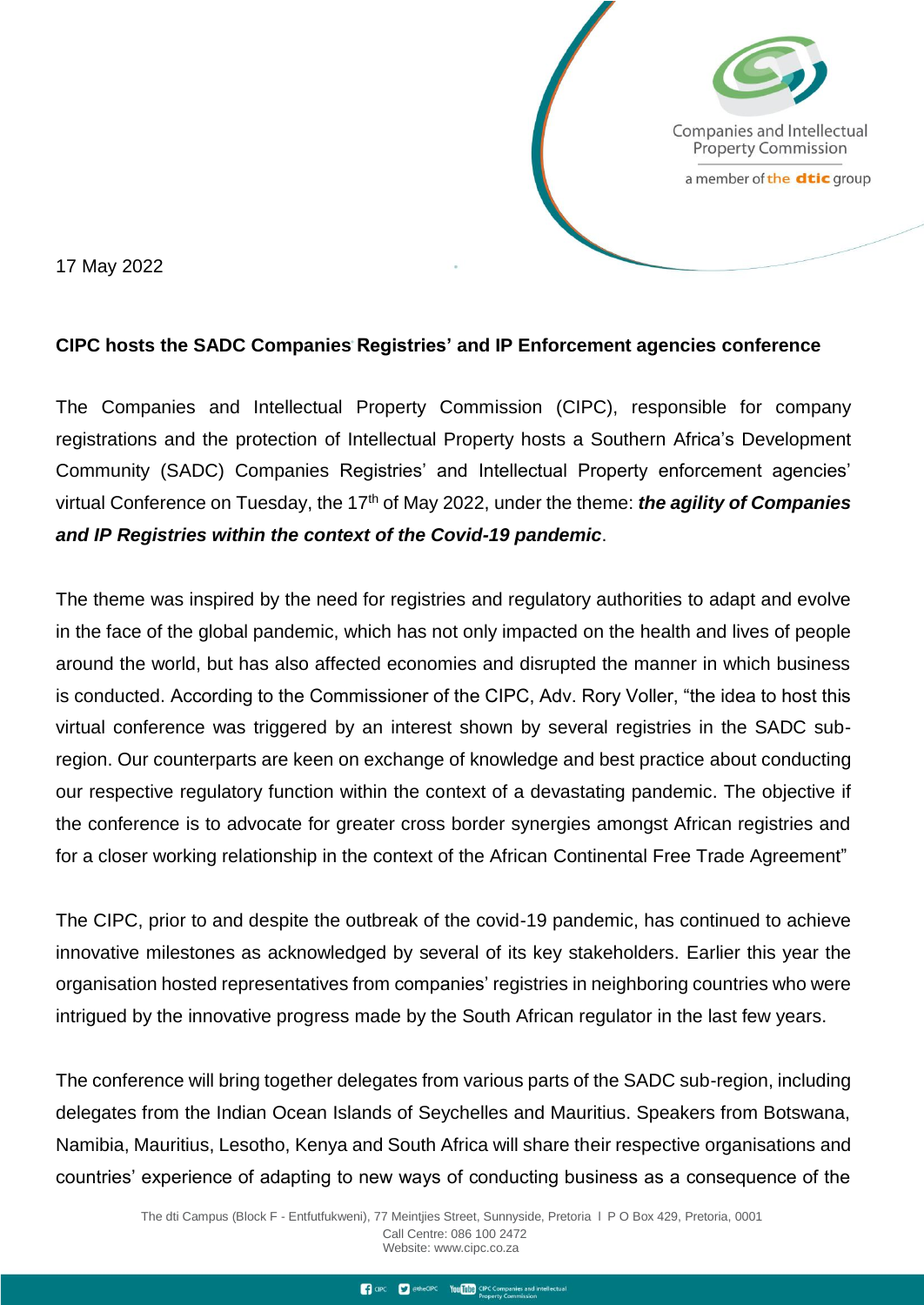

17 May 2022

## **CIPC hosts the SADC Companies Registries' and IP Enforcement agencies conference**

The Companies and Intellectual Property Commission (CIPC), responsible for company registrations and the protection of Intellectual Property hosts a Southern Africa's Development Community (SADC) Companies Registries' and Intellectual Property enforcement agencies' virtual Conference on Tuesday, the 17th of May 2022, under the theme: *the agility of Companies and IP Registries within the context of the Covid-19 pandemic*.

The theme was inspired by the need for registries and regulatory authorities to adapt and evolve in the face of the global pandemic, which has not only impacted on the health and lives of people around the world, but has also affected economies and disrupted the manner in which business is conducted. According to the Commissioner of the CIPC, Adv. Rory Voller, "the idea to host this virtual conference was triggered by an interest shown by several registries in the SADC subregion. Our counterparts are keen on exchange of knowledge and best practice about conducting our respective regulatory function within the context of a devastating pandemic. The objective if the conference is to advocate for greater cross border synergies amongst African registries and for a closer working relationship in the context of the African Continental Free Trade Agreement"

The CIPC, prior to and despite the outbreak of the covid-19 pandemic, has continued to achieve innovative milestones as acknowledged by several of its key stakeholders. Earlier this year the organisation hosted representatives from companies' registries in neighboring countries who were intrigued by the innovative progress made by the South African regulator in the last few years.

The conference will bring together delegates from various parts of the SADC sub-region, including delegates from the Indian Ocean Islands of Seychelles and Mauritius. Speakers from Botswana, Namibia, Mauritius, Lesotho, Kenya and South Africa will share their respective organisations and countries' experience of adapting to new ways of conducting business as a consequence of the

> The dti Campus (Block F - Entfutfukweni), 77 Meintjies Street, Sunnyside, Pretoria l P O Box 429, Pretoria, 0001 Call Centre: 086 100 2472 Webs[ite: www.cipc.co.za](http://www.cipc.co.za/)

> > To CIPC To The CIPC You Tube CIPC Companies and intellectual